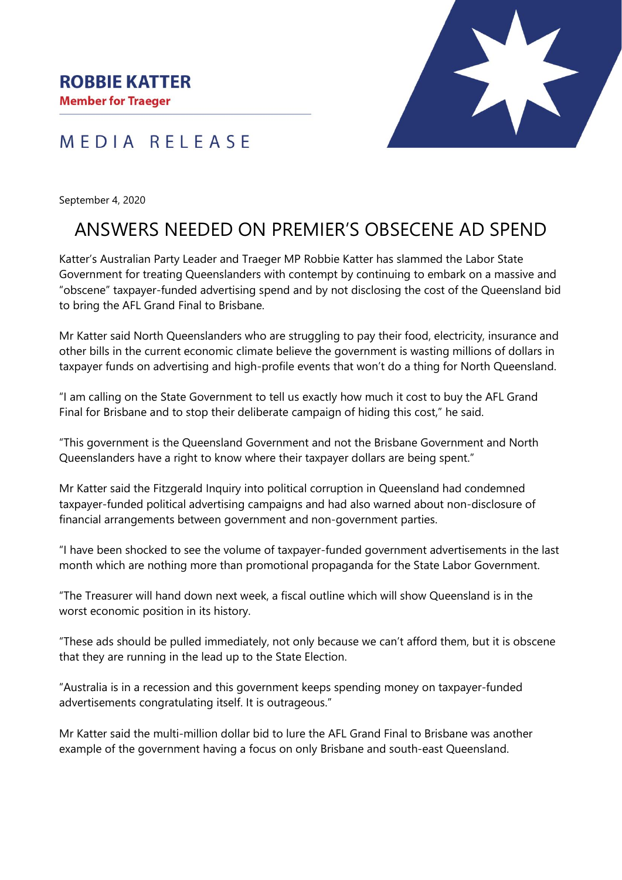



September 4, 2020

## ANSWERS NEEDED ON PREMIER'S OBSECENE AD SPEND

Katter's Australian Party Leader and Traeger MP Robbie Katter has slammed the Labor State Government for treating Queenslanders with contempt by continuing to embark on a massive and "obscene" taxpayer-funded advertising spend and by not disclosing the cost of the Queensland bid to bring the AFL Grand Final to Brisbane.

Mr Katter said North Queenslanders who are struggling to pay their food, electricity, insurance and other bills in the current economic climate believe the government is wasting millions of dollars in taxpayer funds on advertising and high-profile events that won't do a thing for North Queensland.

"I am calling on the State Government to tell us exactly how much it cost to buy the AFL Grand Final for Brisbane and to stop their deliberate campaign of hiding this cost," he said.

"This government is the Queensland Government and not the Brisbane Government and North Queenslanders have a right to know where their taxpayer dollars are being spent."

Mr Katter said the Fitzgerald Inquiry into political corruption in Queensland had condemned taxpayer-funded political advertising campaigns and had also warned about non-disclosure of financial arrangements between government and non-government parties.

"I have been shocked to see the volume of taxpayer-funded government advertisements in the last month which are nothing more than promotional propaganda for the State Labor Government.

"The Treasurer will hand down next week, a fiscal outline which will show Queensland is in the worst economic position in its history.

"These ads should be pulled immediately, not only because we can't afford them, but it is obscene that they are running in the lead up to the State Election.

"Australia is in a recession and this government keeps spending money on taxpayer-funded advertisements congratulating itself. It is outrageous."

Mr Katter said the multi-million dollar bid to lure the AFL Grand Final to Brisbane was another example of the government having a focus on only Brisbane and south-east Queensland.